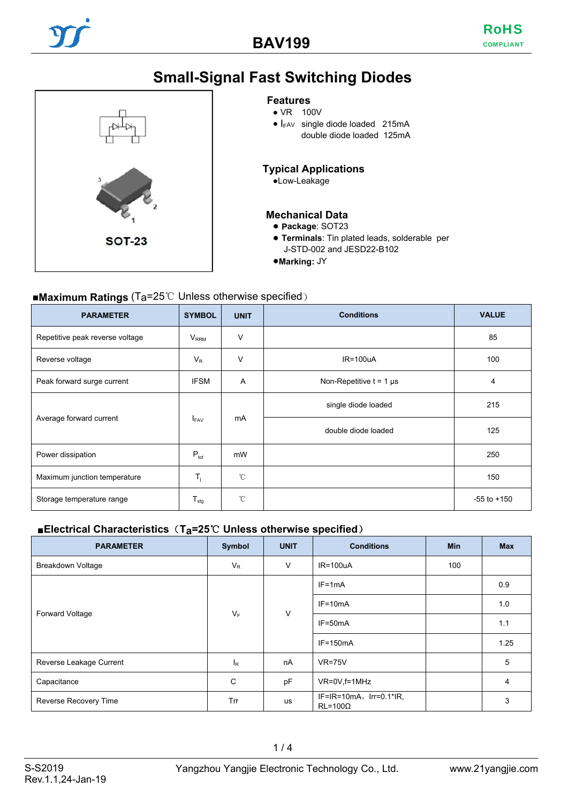# **Small-Signal Fast Switching Diodes**



#### **Features**

- VR 100V
- $\bullet$   $I$ <sub>FAV</sub> single diode loaded 215mA
	- double diode loaded 125mA

#### **Typical Applications**

●Low-Leakage

#### **Mechanical Data**

- **Package**: SOT23
- **Terminals**: Tin plated leads, solderable per J-STD-002 and JESD22-B102
- ●**Marking:** JY

# ■Maximum Ratings (Ta=25℃ Unless otherwise specified)

| <b>PARAMETER</b>                | <b>SYMBOL</b>    | <b>UNIT</b>    | <b>Conditions</b>         | <b>VALUE</b>    |
|---------------------------------|------------------|----------------|---------------------------|-----------------|
| Repetitive peak reverse voltage | $V_{RRM}$        | $\vee$         |                           | 85              |
| Reverse voltage                 | $V_{R}$          | $\vee$         | <b>IR=100uA</b>           | 100             |
| Peak forward surge current      | <b>IFSM</b>      | $\overline{A}$ | Non-Repetitive $t = 1$ µs | 4               |
| Average forward current         | $I_{FAV}$        | mA             | single diode loaded       | 215             |
|                                 |                  |                | double diode loaded       | 125             |
| Power dissipation               | $P_{\text{tot}}$ | mW             |                           | 250             |
| Maximum junction temperature    | $T_{j}$          | $^{\circ}$ C   |                           | 150             |
| Storage temperature range       | $T_{\text{stg}}$ | $^{\circ}$ C   |                           | $-55$ to $+150$ |

#### ■**Electrical Characteristics**(**Ta=25**℃ **Unless otherwise specified**)

| <b>PARAMETER</b>        | Symbol         | <b>UNIT</b> | <b>Conditions</b>                                    | <b>Min</b> | <b>Max</b> |
|-------------------------|----------------|-------------|------------------------------------------------------|------------|------------|
| Breakdown Voltage       | $V_R$          | V           | IR=100uA                                             | 100        |            |
|                         | $V_F$          | $\vee$      | $IF=1mA$                                             |            | 0.9        |
|                         |                |             | $IF = 10mA$                                          |            | 1.0        |
| Forward Voltage         |                |             | $IF=50mA$                                            |            | 1.1        |
|                         |                |             | $IF=150mA$                                           |            | 1.25       |
| Reverse Leakage Current | I <sub>R</sub> | nA          | $VR = 75V$                                           |            | 5          |
| Capacitance             | C              | pF          | VR=0V,f=1MHz                                         |            | 4          |
| Reverse Recovery Time   | Trr            | us          | $IF = IR = 10mA$ , $Ir = 0.1*IR$<br>$RL = 100\Omega$ |            | 3          |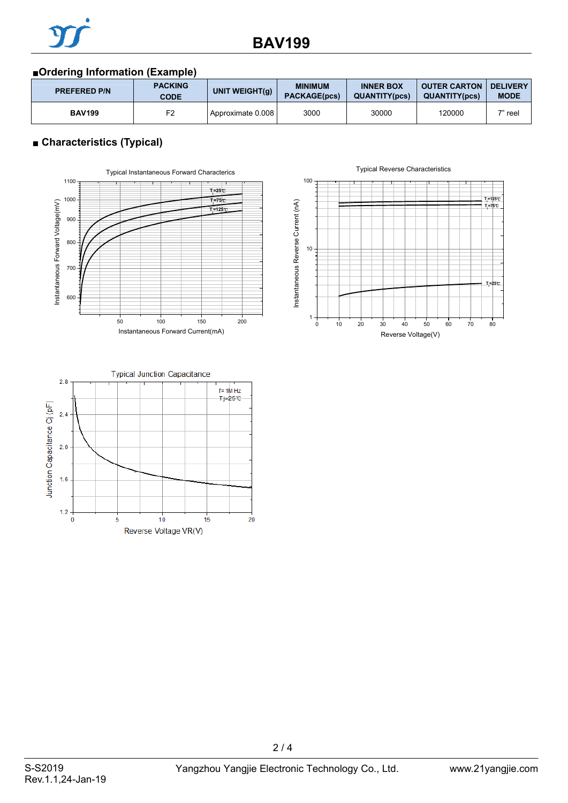

### ■**Ordering Information (Example)**

| <b>PREFERED P/N</b> | <b>PACKING</b><br><b>CODE</b> | UNIT WEIGHT(g)        | <b>MINIMUM</b><br><b>PACKAGE(pcs)</b> | <b>INNER BOX</b><br><b>QUANTITY(pcs)</b> | <b>OUTER CARTON</b><br><b>QUANTITY(pcs)</b> | <b>DELIVERY</b><br><b>MODE</b> |
|---------------------|-------------------------------|-----------------------|---------------------------------------|------------------------------------------|---------------------------------------------|--------------------------------|
| <b>BAV199</b>       | F2                            | I Approximate 0.008 I | 3000                                  | 30000                                    | 120000                                      | $7"$ reel                      |

### ■ **Characteristics (Typical)**







2 / 4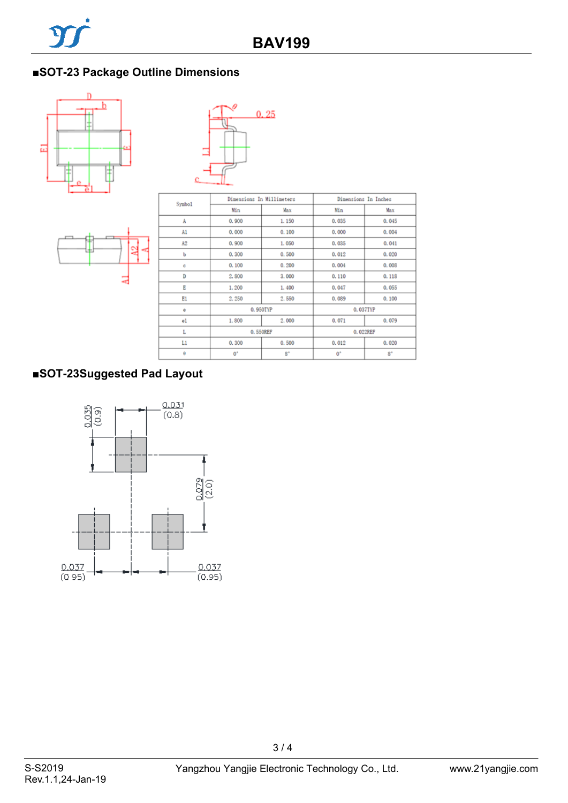## ■**SOT-23 Package Outline Dimensions**







| Symbo1         | Dimensions In Millimeters |             | Dimensions In Inches |       |  |
|----------------|---------------------------|-------------|----------------------|-------|--|
|                | Min                       | Max         | Min                  | Max   |  |
| Α              | 0.900                     | 1.150       | 0.035                | 0.045 |  |
| A1             | 0,000                     | 0.100       | 0,000                | 0.004 |  |
| A <sub>2</sub> | 0.900                     | 1.050       | 0.035                | 0.041 |  |
| ъ              | 0.300                     | 0.500       | 0.012                | 0.020 |  |
| ċ              | 0.100                     | 0.200       | 0.004                | 0.008 |  |
| D              | 2.800                     | 3.000       | 0.110                | 0.118 |  |
| E              | 1.200                     | 1,400       | 0.047                | 0.055 |  |
| E1             | 2.250                     | 2.550       | 0.089                | 0.100 |  |
| ė              | 0.950TYP                  |             | 0.037TYP             |       |  |
| e1             | 1.800                     | 2.000       | 0.071                | 0.079 |  |
| L              | 0.550REF                  |             | 0.022REF             |       |  |
| L1             | 0.300                     | 0.500       | 0.012                | 0.020 |  |
| ė              | $0^{\circ}$               | $8^{\circ}$ | 0 <sup>o</sup>       | $8^*$ |  |

## **■SOT-23Suggested Pad Layout**



3 / 4